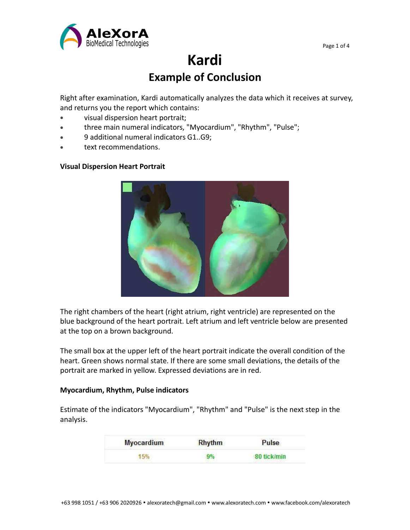

# **Kardi Example of Conclusion**

Right after examination, Kardi automatically analyzes the data which it receives at survey, and returns you the report which contains:

- visual dispersion heart portrait;
- three main numeral indicators, "Myocardium", "Rhythm", "Pulse";
- 9 additional numeral indicators G1..G9;
- text recommendations.

## **Visual Dispersion Heart Portrait**



The right chambers of the heart (right atrium, right ventricle) are represented on the blue background of the heart portrait. Left atrium and left ventricle below are presented at the top on a brown background.

The small box at the upper left of the heart portrait indicate the overall condition of the heart. Green shows normal state. If there are some small deviations, the details of the portrait are marked in yellow. Expressed deviations are in red.

## **Myocardium, Rhythm, Pulse indicators**

Estimate of the indicators "Myocardium", "Rhythm" and "Pulse" is the next step in the analysis.

| <b>Myocardium</b> | <b>Rhythm</b> | Pulse<br>80 tick/min |  |
|-------------------|---------------|----------------------|--|
|                   |               |                      |  |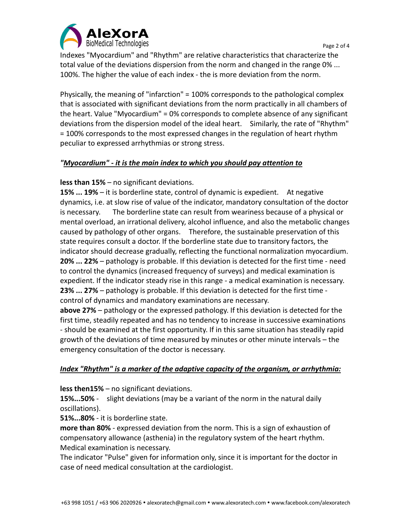

Indexes "Myocardium" and "Rhythm" are relative characteristics that characterize the total value of the deviations dispersion from the norm and changed in the range 0% ... 100%. The higher the value of each index - the is more deviation from the norm.

Physically, the meaning of "infarction" = 100% corresponds to the pathological complex that is associated with significant deviations from the norm practically in all chambers of the heart. Value "Myocardium" = 0% corresponds to complete absence of any significant deviations from the dispersion model of the ideal heart. Similarly, the rate of "Rhythm" = 100% corresponds to the most expressed changes in the regulation of heart rhythm peculiar to expressed arrhythmias or strong stress.

# *"Myocardium" - it is the main index to which you should pay attention to*

## **less than 15%** – no significant deviations.

**15% ... 19%** – it is borderline state, control of dynamic is expedient. At negative dynamics, i.e. at slow rise of value of the indicator, mandatory consultation of the doctor is necessary. The borderline state can result from weariness because of a physical or mental overload, an irrational delivery, alcohol influence, and also the metabolic changes caused by pathology of other organs. Therefore, the sustainable preservation of this state requires consult a doctor. If the borderline state due to transitory factors, the indicator should decrease gradually, reflecting the functional normalization myocardium. **20% ... 22%** – pathology is probable. If this deviation is detected for the first time - need to control the dynamics (increased frequency of surveys) and medical examination is expedient. If the indicator steady rise in this range - a medical examination is necessary. **23% ... 27%** – pathology is probable. If this deviation is detected for the first time control of dynamics and mandatory examinations are necessary.

**above 27%** – pathology or the expressed pathology. If this deviation is detected for the first time, steadily repeated and has no tendency to increase in successive examinations - should be examined at the first opportunity. If in this same situation has steadily rapid growth of the deviations of time measured by minutes or other minute intervals – the emergency consultation of the doctor is necessary.

## *Index "Rhythm" isa marker of the adaptive capacity of the organism,or arrhythmia:*

**less then15%** – no significant deviations.

**15%...50%** - slight deviations (may be a variant of the norm in the natural daily oscillations).

**51%...80%** - it is borderline state.

**more than 80%** - expressed deviation from the norm. This is a sign of exhaustion of compensatory allowance (asthenia) in the regulatory system of the heart rhythm. Medical examination is necessary.

The indicator "Pulse" given for information only, since it is important for the doctor in case of need medical consultation at the cardiologist.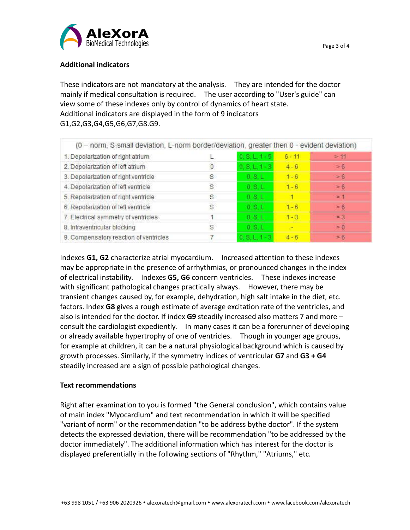

# **Additional indicators**

These indicators are not mandatory at the analysis. They are intended for the doctor mainly if medical consultation is required. The user according to "User's guide" can view some of these indexes only by control of dynamics of heart state. Additional indicators are displayed in the form of 9 indicators G1,G2,G3,G4,G5,G6,G7,G8.G9.

| (0 - norm, S-small deviation, L-norm border/deviation, greater then 0 - evident deviation) |             |                  |          |          |
|--------------------------------------------------------------------------------------------|-------------|------------------|----------|----------|
| 1. Depolarization of right atrium                                                          |             | $0.8L1 + 5$      | $6 - 11$ | >11      |
| 2. Depolarization of left atrium                                                           | $\mathbf 0$ | $0, 5, 1, 1 - 3$ | $4 - 6$  | > 6      |
| 3. Depolarization of right ventricle                                                       | s           | $0.8+$           | $1 - 6$  | $= 6$    |
| 4. Depolarization of left ventricle                                                        | S           | $0.$ S.L.        | $1 - 6$  | $= 6$    |
| 5. Repolarization of right ventricle                                                       | S           | 0.8L             |          | >1       |
| 6. Repolarization of left ventricle                                                        | S           | 0, S, L          | $1 - 6$  | $= 6$    |
| 7. Electrical symmetry of ventricles                                                       |             | 0.8L             | $1 - 3$  | $=3$     |
| 8. Intraventricular blocking                                                               | S           | $0.$ S.L.        |          | $\geq 0$ |
| 9. Compensatory reaction of ventricles                                                     |             | $0.8 L1 - 3$     | $4 - 6$  | > 6      |

Indexes **G1, G2** characterize atrial myocardium. Increased attention to these indexes may be appropriate in the presence of arrhythmias, or pronounced changes in the index of electrical instability. Indexes **G5, G6** concern ventricles. These indexes increase with significant pathological changes practically always. However, there may be transient changes caused by, for example, dehydration, high salt intake in the diet, etc. factors. Index **G8** gives a rough estimate of average excitation rate of the ventricles, and also is intended for the doctor. If index **G9** steadily increased also matters 7 and more – consult the cardiologist expediently. In many cases it can be a forerunner of developing or already available hypertrophy of one of ventricles. Though in younger age groups, for example at children, it can be a natural physiological background which is caused by growth processes. Similarly, if the symmetry indices of ventricular **G7** and **G3 + G4** steadily increased are a sign of possible pathological changes.

# **Text recommendations**

Right after examination to you isformed "the General conclusion", which contains value of main index "Myocardium" and text recommendation in which it will be specified "variant of norm" or the recommendation "to be address bythe doctor". If the system detects the expressed deviation, there will be recommendation "to be addressed by the doctor immediately". The additional information which has interest for the doctor is displayed preferentially in the following sections of "Rhythm," "Atriums," etc.